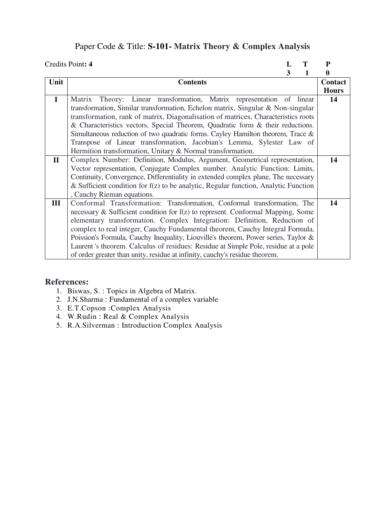# Paper Code & Title: **S-101- Matrix Theory & Complex Analysis**

|              | Credits Point: 4                                                                      | L |   | P            |
|--------------|---------------------------------------------------------------------------------------|---|---|--------------|
|              |                                                                                       | 3 | 1 | 0            |
| Unit         | <b>Contents</b>                                                                       |   |   | Contact      |
|              |                                                                                       |   |   | <b>Hours</b> |
| $\mathbf{I}$ | Theory: Linear transformation, Matrix representation of linear<br>Matrix              |   |   | 14           |
|              | transformation, Similar transformation, Echelon matrix, Singular & Non-singular       |   |   |              |
|              | transformation, rank of matrix, Diagonalisation of matrices, Characteristics roots    |   |   |              |
|              | & Characteristics vectors, Special Theorem, Quadratic form & their reductions.        |   |   |              |
|              | Simultaneous reduction of two quadratic forms. Cayley Hamilton theorem, Trace &       |   |   |              |
|              | Transpose of Linear transformation, Jacobian's Lemma, Sylester Law of                 |   |   |              |
|              | Hermition transformation, Unitary & Normal transformation.                            |   |   |              |
| $\mathbf{I}$ | Complex Number: Definition, Modulus, Argument, Geometrical representation,            |   |   | 14           |
|              | Vector representation, Conjugate Complex number. Analytic Function: Limits,           |   |   |              |
|              | Continuity, Convergence, Differentiality in extended complex plane, The necessary     |   |   |              |
|              | & Sufficient condition for $f(z)$ to be analytic, Regular function, Analytic Function |   |   |              |
|              | , Cauchy Rieman equations.                                                            |   |   |              |
| III          | Conformal Transformation: Transformation, Conformal transformation, The               |   |   | 14           |
|              | necessary & Sufficient condition for f(z) to represent. Conformal Mapping, Some       |   |   |              |
|              | elementary transformation. Complex Integration: Definition, Reduction of              |   |   |              |
|              | complex to real integer, Cauchy Fundamental theorem, Cauchy Integral Formula,         |   |   |              |
|              | Poission's Formula, Cauchy Inequality, Liouville's theorem, Power series, Taylor &    |   |   |              |
|              | Laurent's theorem. Calculus of residues: Residue at Simple Pole, residue at a pole    |   |   |              |
|              | of order greater than unity, residue at infinity, cauchy's residue theorem.           |   |   |              |

- 1. Biswas, S. : Topics in Algebra of Matrix.
- 2. J.N.Sharma : Fundamental of a complex variable
- 3. E.T.Copson :Complex Analysis
- 4. W.Rudin : Real & Complex Analysis
- 5. R.A.Silverman : Introduction Complex Analysis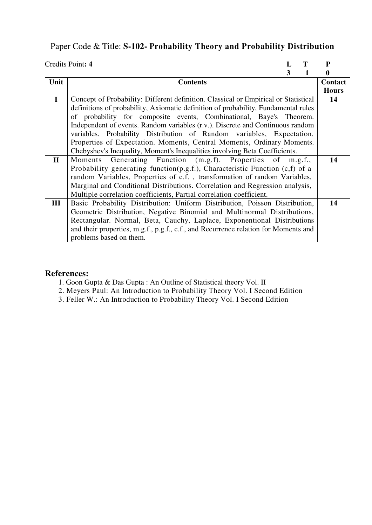# Paper Code & Title: **S-102- Probability Theory and Probability Distribution**

|              | Credits Point: 4                                                                    |   | P            |
|--------------|-------------------------------------------------------------------------------------|---|--------------|
|              |                                                                                     | 3 | 0            |
| Unit         | <b>Contents</b>                                                                     |   | Contact      |
|              |                                                                                     |   | <b>Hours</b> |
| $\mathbf I$  | Concept of Probability: Different definition. Classical or Empirical or Statistical |   | 14           |
|              | definitions of probability, Axiomatic definition of probability, Fundamental rules  |   |              |
|              | of probability for composite events, Combinational, Baye's Theorem.                 |   |              |
|              | Independent of events. Random variables (r.v.). Discrete and Continuous random      |   |              |
|              | variables. Probability Distribution of Random variables, Expectation.               |   |              |
|              | Properties of Expectation. Moments, Central Moments, Ordinary Moments.              |   |              |
|              | Chebyshev's Inequality, Moment's Inequalities involving Beta Coefficients.          |   |              |
| $\mathbf{I}$ | Moments Generating Function (m.g.f). Properties of m.g.f.,                          |   | 14           |
|              | Probability generating function(p.g.f.), Characteristic Function $(c,f)$ of a       |   |              |
|              | random Variables, Properties of c.f., transformation of random Variables,           |   |              |
|              | Marginal and Conditional Distributions. Correlation and Regression analysis,        |   |              |
|              | Multiple correlation coefficients, Partial correlation coefficient.                 |   |              |
| Ш            | Basic Probability Distribution: Uniform Distribution, Poisson Distribution,         |   | 14           |
|              | Geometric Distribution, Negative Binomial and Multinormal Distributions,            |   |              |
|              | Rectangular. Normal, Beta, Cauchy, Laplace, Exponentional Distributions             |   |              |
|              | and their properties, m.g.f., p.g.f., c.f., and Recurrence relation for Moments and |   |              |
|              | problems based on them.                                                             |   |              |

- 1. Goon Gupta & Das Gupta : An Outline of Statistical theory Vol. II
- 2. Meyers Paul: An Introduction to Probability Theory Vol. I Second Edition
- 3. Feller W.: An Introduction to Probability Theory Vol. I Second Edition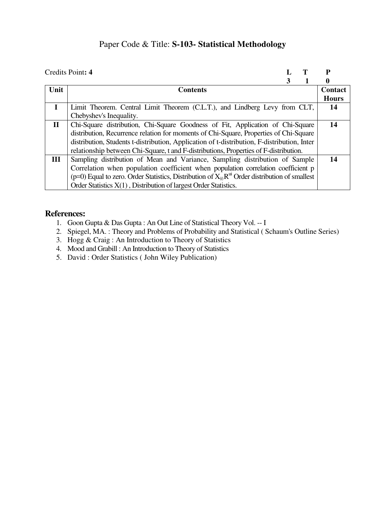### Paper Code & Title: **S-103- Statistical Methodology**

|              | Credits Point: 4                                                                                          |   |              |
|--------------|-----------------------------------------------------------------------------------------------------------|---|--------------|
|              |                                                                                                           | 3 | 0            |
| Unit         | <b>Contents</b>                                                                                           |   | Contact      |
|              |                                                                                                           |   | <b>Hours</b> |
|              | Limit Theorem. Central Limit Theorem (C.L.T.), and Lindberg Levy from CLT,                                |   | 14           |
|              | Chebyshev's Inequality.                                                                                   |   |              |
| $\mathbf{I}$ | Chi-Square distribution, Chi-Square Goodness of Fit, Application of Chi-Square                            |   | 14           |
|              | distribution, Recurrence relation for moments of Chi-Square, Properties of Chi-Square                     |   |              |
|              | distribution, Students t-distribution, Application of t-distribution, F-distribution, Inter               |   |              |
|              | relationship between Chi-Square, t and F-distributions, Properties of F-distribution.                     |   |              |
| Ш            | Sampling distribution of Mean and Variance, Sampling distribution of Sample                               |   | 14           |
|              | Correlation when population coefficient when population correlation coefficient p                         |   |              |
|              | ( $p=0$ ) Equal to zero. Order Statistics, Distribution of $X_{(n)}R^{ui}$ Order distribution of smallest |   |              |
|              | Order Statistics X(1), Distribution of largest Order Statistics.                                          |   |              |

- 1. Goon Gupta & Das Gupta : An Out Line of Statistical Theory Vol. -- I
- 2. Spiegel, MA. : Theory and Problems of Probability and Statistical ( Schaum's Outline Series)
- 3. Hogg & Craig : An Introduction to Theory of Statistics
- 4. Mood and Grabill : An Introduction to Theory of Statistics
- 5. David : Order Statistics ( John Wiley Publication)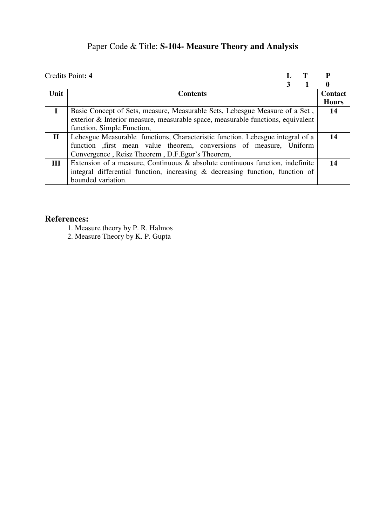# Paper Code & Title: **S-104- Measure Theory and Analysis**

|              | Credits Point: 4                                                                 |   |              |
|--------------|----------------------------------------------------------------------------------|---|--------------|
|              |                                                                                  | 3 | 0            |
| Unit         | <b>Contents</b>                                                                  |   | Contact      |
|              |                                                                                  |   | <b>Hours</b> |
|              | Basic Concept of Sets, measure, Measurable Sets, Lebesgue Measure of a Set,      |   | -14          |
|              | exterior & Interior measure, measurable space, measurable functions, equivalent  |   |              |
|              | function, Simple Function,                                                       |   |              |
| $\mathbf{I}$ | Lebesgue Measurable functions, Characteristic function, Lebesgue integral of a   |   | 14           |
|              | function , first mean value theorem, conversions of measure, Uniform             |   |              |
|              | Convergence, Reisz Theorem, D.F. Egor's Theorem,                                 |   |              |
| III          | Extension of a measure, Continuous $\&$ absolute continuous function, indefinite |   | 14           |
|              | integral differential function, increasing & decreasing function, function of    |   |              |
|              | bounded variation.                                                               |   |              |

### **References:**

1. Measure theory by P. R. Halmos

2. Measure Theory by K. P. Gupta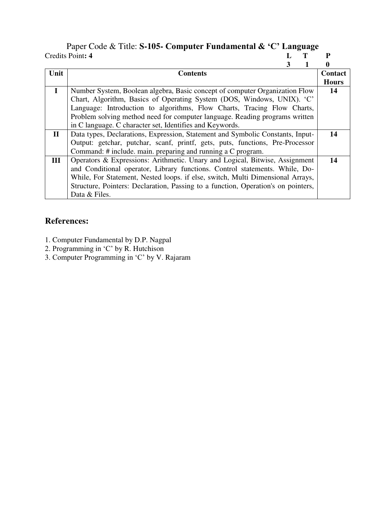### Paper Code & Title: **S-105- Computer Fundamental & 'C' Language** Credits Point: 4

|              | 3                                                                                 |                |
|--------------|-----------------------------------------------------------------------------------|----------------|
| Unit         | <b>Contents</b>                                                                   | <b>Contact</b> |
|              |                                                                                   | <b>Hours</b>   |
| $\mathbf I$  | Number System, Boolean algebra, Basic concept of computer Organization Flow       | 14             |
|              | Chart, Algorithm, Basics of Operating System (DOS, Windows, UNIX). 'C'            |                |
|              | Language: Introduction to algorithms, Flow Charts, Tracing Flow Charts,           |                |
|              | Problem solving method need for computer language. Reading programs written       |                |
|              | in C language. C character set, Identifies and Keywords.                          |                |
| $\mathbf{I}$ | Data types, Declarations, Expression, Statement and Symbolic Constants, Input-    | 14             |
|              | Output: getchar, putchar, scanf, printf, gets, puts, functions, Pre-Processor     |                |
|              | Command: # include. main. preparing and running a C program.                      |                |
| Ш            | Operators & Expressions: Arithmetic. Unary and Logical, Bitwise, Assignment       | 14             |
|              | and Conditional operator, Library functions. Control statements. While, Do-       |                |
|              | While, For Statement, Nested loops. if else, switch, Multi Dimensional Arrays,    |                |
|              | Structure, Pointers: Declaration, Passing to a function, Operation's on pointers, |                |
|              | Data & Files.                                                                     |                |

- 1. Computer Fundamental by D.P. Nagpal
- 2. Programming in 'C' by R. Hutchison
- 3. Computer Programming in 'C' by V. Rajaram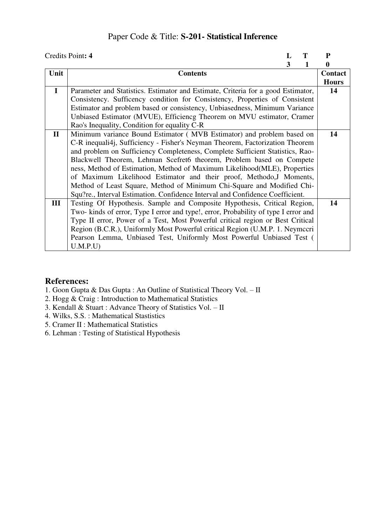### Paper Code & Title: **S-201- Statistical Inference**

|              | Credits Point: 4                                                                    | L |   | P            |
|--------------|-------------------------------------------------------------------------------------|---|---|--------------|
|              |                                                                                     | 3 | 1 | 0            |
| Unit         | <b>Contents</b>                                                                     |   |   | Contact      |
|              |                                                                                     |   |   | <b>Hours</b> |
| $\mathbf{I}$ | Parameter and Statistics. Estimator and Estimate, Criteria for a good Estimator,    |   |   | 14           |
|              | Consistency. Sufficency condition for Consistency, Properties of Consistent         |   |   |              |
|              | Estimator and problem based or consistency, Unbiasedness, Minimum Variance          |   |   |              |
|              | Unbiased Estimator (MVUE), Efficiencg Theorem on MVU estimator, Cramer              |   |   |              |
|              | Rao's Inequality, Condition for equality C-R                                        |   |   |              |
| $\mathbf{I}$ | Minimum variance Bound Estimator (MVB Estimator) and problem based on               |   |   | 14           |
|              | C-R inequali4j, Sufficiency - Fisher's Neyman Theorem, Factorization Theorem        |   |   |              |
|              | and problem on Sufficiency Completeness, Complete Sufficient Statistics, Rao-       |   |   |              |
|              | Blackwell Theorem, Lehman Scefret6 theorem, Problem based on Compete                |   |   |              |
|              | ness, Method of Estimation, Method of Maximum Likelihood(MLE), Properties           |   |   |              |
|              | of Maximum Likelihood Estimator and their proof, Methodo, J Moments,                |   |   |              |
|              | Method of Least Square, Method of Minimum Chi-Square and Modified Chi-              |   |   |              |
|              | Squ?re., Interval Estimation. Confidence Interval and Confidence Coefficient.       |   |   |              |
| III          | Testing Of Hypothesis. Sample and Composite Hypothesis, Critical Region,            |   |   | 14           |
|              | Two- kinds of error, Type I error and type!, error, Probability of type I error and |   |   |              |
|              | Type II error, Power of a Test, Most Powerful critical region or Best Critical      |   |   |              |
|              | Region (B.C.R.), Uniformly Most Powerful critical Region (U.M.P. 1. Neymecri        |   |   |              |
|              | Pearson Lemma, Unbiased Test, Uniformly Most Powerful Unbiased Test (               |   |   |              |
|              | U.M.P.U)                                                                            |   |   |              |

- 1. Goon Gupta & Das Gupta : An Outline of Statistical Theory Vol. II
- 2. Hogg & Craig : Introduction to Mathematical Statistics
- 3. Kendall & Stuart : Advance Theory of Statistics Vol. II
- 4. Wilks, S.S. : Mathematical Stastistics
- 5. Cramer II : Mathematical Statistics
- 6. Lehman : Testing of Statistical Hypothesis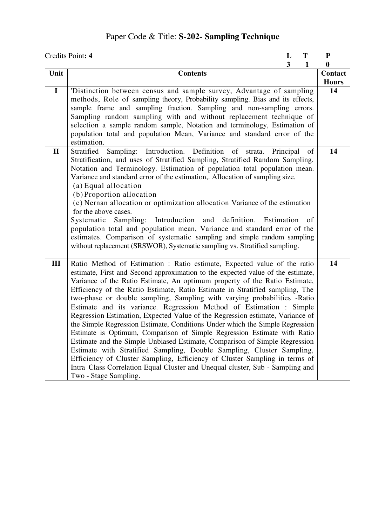# Paper Code & Title: **S-202- Sampling Technique**

|              | Credits Point: 4                                                                                                                                                                                                                                                                                                                                                                                                                                                                                                                                                                                                                                                                                                                                                                                                                                                                                                                                                                                                                                                        | L            | T        | ${\bf P}$               |
|--------------|-------------------------------------------------------------------------------------------------------------------------------------------------------------------------------------------------------------------------------------------------------------------------------------------------------------------------------------------------------------------------------------------------------------------------------------------------------------------------------------------------------------------------------------------------------------------------------------------------------------------------------------------------------------------------------------------------------------------------------------------------------------------------------------------------------------------------------------------------------------------------------------------------------------------------------------------------------------------------------------------------------------------------------------------------------------------------|--------------|----------|-------------------------|
|              |                                                                                                                                                                                                                                                                                                                                                                                                                                                                                                                                                                                                                                                                                                                                                                                                                                                                                                                                                                                                                                                                         | $\mathbf{3}$ | 1        | 0                       |
| Unit         | <b>Contents</b>                                                                                                                                                                                                                                                                                                                                                                                                                                                                                                                                                                                                                                                                                                                                                                                                                                                                                                                                                                                                                                                         |              |          | Contact<br><b>Hours</b> |
| $\mathbf I$  | 'Distinction between census and sample survey, Advantage of sampling<br>methods, Role of sampling theory, Probability sampling. Bias and its effects,<br>sample frame and sampling fraction. Sampling and non-sampling errors.<br>Sampling random sampling with and without replacement technique of<br>selection a sample random sample, Notation and terminology, Estimation of<br>population total and population Mean, Variance and standard error of the<br>estimation.                                                                                                                                                                                                                                                                                                                                                                                                                                                                                                                                                                                            |              |          | 14                      |
| $\mathbf{I}$ | Sampling: Introduction. Definition<br>Stratified<br>of<br>strata.<br>Stratification, and uses of Stratified Sampling, Stratified Random Sampling.<br>Notation and Terminology. Estimation of population total population mean.<br>Variance and standard error of the estimation,. Allocation of sampling size.<br>(a) Equal allocation<br>(b) Proportion allocation<br>(c) Nernan allocation or optimization allocation Variance of the estimation<br>for the above cases.<br>Systematic Sampling: Introduction and definition. Estimation<br>population total and population mean, Variance and standard error of the<br>estimates. Comparison of systematic sampling and simple random sampling<br>without replacement (SRSWOR), Systematic sampling vs. Stratified sampling.                                                                                                                                                                                                                                                                                         | Principal    | of<br>of | 14                      |
| III          | Ratio Method of Estimation: Ratio estimate, Expected value of the ratio<br>estimate, First and Second approximation to the expected value of the estimate,<br>Variance of the Ratio Estimate, An optimum property of the Ratio Estimate,<br>Efficiency of the Ratio Estimate, Ratio Estimate in Stratified sampling, The<br>two-phase or double sampling, Sampling with varying probabilities -Ratio<br>Estimate and its variance. Regression Method of Estimation : Simple<br>Regression Estimation, Expected Value of the Regression estimate, Variance of<br>the Simple Regression Estimate, Conditions Under which the Simple Regression<br>Estimate is Optimum, Comparison of Simple Regression Estimate with Ratio<br>Estimate and the Simple Unbiased Estimate, Comparison of Simple Regression<br>Estimate with Stratified Sampling, Double Sampling, Cluster Sampling,<br>Efficiency of Cluster Sampling, Efficiency of Cluster Sampling in terms of<br>Intra Class Correlation Equal Cluster and Unequal cluster, Sub - Sampling and<br>Two - Stage Sampling. |              |          | 14                      |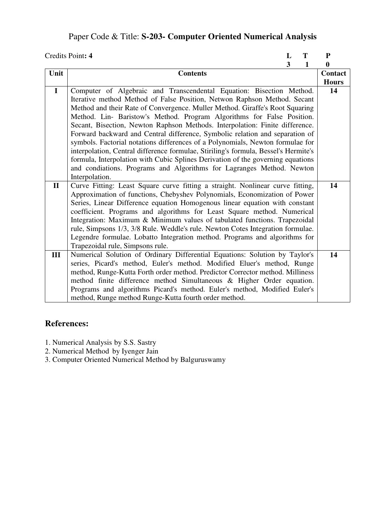# Paper Code & Title: **S-203- Computer Oriented Numerical Analysis**

|              | Credits Point: 4                                                                                                                                       | L                       | T | P            |
|--------------|--------------------------------------------------------------------------------------------------------------------------------------------------------|-------------------------|---|--------------|
|              |                                                                                                                                                        | $\overline{\mathbf{3}}$ | 1 | $\mathbf{0}$ |
| Unit         | <b>Contents</b>                                                                                                                                        |                         |   | Contact      |
|              |                                                                                                                                                        |                         |   | <b>Hours</b> |
| $\mathbf{I}$ | Computer of Algebraic and Transcendental Equation: Bisection Method.                                                                                   |                         |   | 14           |
|              | Iterative method Method of False Position, Netwon Raphson Method. Secant                                                                               |                         |   |              |
|              | Method and their Rate of Convergence. Muller Method. Giraffe's Root Squaring<br>Method. Lin- Baristow's Method. Program Algorithms for False Position. |                         |   |              |
|              | Secant, Bisection, Newton Raphson Methods. Interpolation: Finite difference.                                                                           |                         |   |              |
|              | Forward backward and Central difference, Symbolic relation and separation of                                                                           |                         |   |              |
|              | symbols. Factorial notations differences of a Polynomials, Newton formulae for                                                                         |                         |   |              |
|              | interpolation, Central difference formulae, Stiriling's formula, Bessel's Hermite's                                                                    |                         |   |              |
|              | formula, Interpolation with Cubic Splines Derivation of the governing equations                                                                        |                         |   |              |
|              | and condiations. Programs and Algorithms for Lagranges Method. Newton                                                                                  |                         |   |              |
|              | Interpolation.                                                                                                                                         |                         |   |              |
| $\mathbf{I}$ | Curve Fitting: Least Square curve fitting a straight. Nonlinear curve fitting,                                                                         |                         |   | 14           |
|              | Approximation of functions, Chebyshev Polynomials, Economization of Power                                                                              |                         |   |              |
|              | Series, Linear Difference equation Homogenous linear equation with constant                                                                            |                         |   |              |
|              | coefficient. Programs and algorithms for Least Square method. Numerical<br>Integration: Maximum & Minimum values of tabulated functions. Trapezoidal   |                         |   |              |
|              | rule, Simpsons 1/3, 3/8 Rule. Weddle's rule. Newton Cotes Integration formulae.                                                                        |                         |   |              |
|              | Legendre formulae. Lobatto Integration method. Programs and algorithms for                                                                             |                         |   |              |
|              | Trapezoidal rule, Simpsons rule.                                                                                                                       |                         |   |              |
| III          | Numerical Solution of Ordinary Differential Equations: Solution by Taylor's                                                                            |                         |   | 14           |
|              | series, Picard's method, Euler's method. Modified Eluer's method, Runge                                                                                |                         |   |              |
|              | method, Runge-Kutta Forth order method. Predictor Corrector method. Milliness                                                                          |                         |   |              |
|              | method finite difference method Simultaneous & Higher Order equation.                                                                                  |                         |   |              |
|              | Programs and algorithms Picard's method. Euler's method, Modified Euler's                                                                              |                         |   |              |
|              | method, Runge method Runge-Kutta fourth order method.                                                                                                  |                         |   |              |

- 1. Numerical Analysis by S.S. Sastry
- 2. Numerical Method by Iyenger Jain
- 3. Computer Oriented Numerical Method by Balguruswamy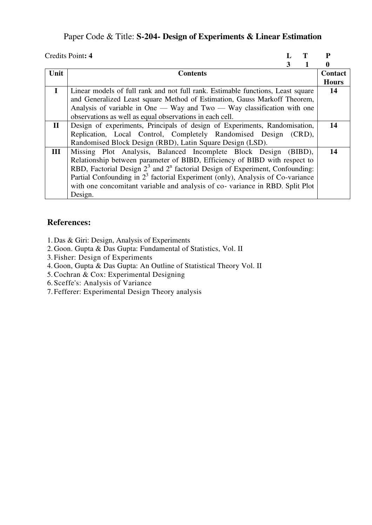### Paper Code & Title: **S-204- Design of Experiments & Linear Estimation**

|              | Credits Point: 4                                                                 |   | P              |
|--------------|----------------------------------------------------------------------------------|---|----------------|
|              |                                                                                  | 3 | 0              |
| Unit         | <b>Contents</b>                                                                  |   | <b>Contact</b> |
|              |                                                                                  |   | <b>Hours</b>   |
| $\mathbf I$  | Linear models of full rank and not full rank. Estimable functions, Least square  |   | 14             |
|              | and Generalized Least square Method of Estimation, Gauss Markoff Theorem,        |   |                |
|              | Analysis of variable in One — Way and Two — Way classification with one          |   |                |
|              | observations as well as equal observations in each cell.                         |   |                |
| $\mathbf{I}$ | Design of experiments, Principals of design of Experiments, Randomisation,       |   | 14             |
|              | Replication, Local Control, Completely Randomised Design (CRD),                  |   |                |
|              | Randomised Block Design (RBD), Latin Square Design (LSD).                        |   |                |
| III          | Missing Plot Analysis, Balanced Incomplete Block Design (BIBD),                  |   | 14             |
|              | Relationship between parameter of BIBD, Efficiency of BIBD with respect to       |   |                |
|              | RBD, Factorial Design $23$ and $2n$ factorial Design of Experiment, Confounding: |   |                |
|              | Partial Confounding in $23$ factorial Experiment (only), Analysis of Co-variance |   |                |
|              | with one concomitant variable and analysis of co-variance in RBD. Split Plot     |   |                |
|              | Design.                                                                          |   |                |

### **References:**

1. Das & Giri: Design, Analysis of Experiments

- 2. Goon. Gupta & Das Gupta: Fundamental of Statistics, Vol. II
- 3. Fisher: Design of Experiments
- 4. Goon, Gupta & Das Gupta: An Outline of Statistical Theory Vol. II
- 5.Cochran & Cox: Experimental Designing
- 6. Sceffe's: Analysis of Variance
- 7. Fefferer: Experimental Design Theory analysis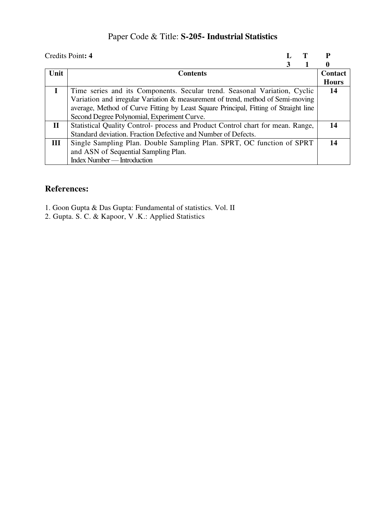# Paper Code & Title: **S-205- Industrial Statistics**

|              | Credits Point: 4                                                                     | Р            |
|--------------|--------------------------------------------------------------------------------------|--------------|
|              |                                                                                      |              |
| Unit         | <b>Contents</b>                                                                      | Contact      |
|              |                                                                                      | <b>Hours</b> |
|              | Time series and its Components. Secular trend. Seasonal Variation, Cyclic            | 14           |
|              | Variation and irregular Variation & measurement of trend, method of Semi-moving      |              |
|              | average, Method of Curve Fitting by Least Square Principal, Fitting of Straight line |              |
|              | Second Degree Polynomial, Experiment Curve.                                          |              |
| $\mathbf{I}$ | Statistical Quality Control- process and Product Control chart for mean. Range,      | 14           |
|              | Standard deviation. Fraction Defective and Number of Defects.                        |              |
| III          | Single Sampling Plan. Double Sampling Plan. SPRT, OC function of SPRT                | 14           |
|              | and ASN of Sequential Sampling Plan.                                                 |              |
|              | Index Number — Introduction                                                          |              |

- 1. Goon Gupta & Das Gupta: Fundamental of statistics. Vol. II
- 2. Gupta. S. C. & Kapoor, V .K.: Applied Statistics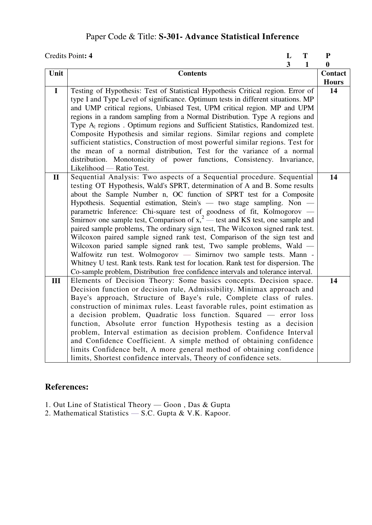# Paper Code & Title: **S-301- Advance Statistical Inference**

|              | Credits Point: 4                                                                                                                                       | L | T            | ${\bf P}$    |
|--------------|--------------------------------------------------------------------------------------------------------------------------------------------------------|---|--------------|--------------|
|              |                                                                                                                                                        | 3 | $\mathbf{1}$ | $\bf{0}$     |
| Unit         | <b>Contents</b>                                                                                                                                        |   |              | Contact      |
|              |                                                                                                                                                        |   |              | <b>Hours</b> |
| $\mathbf I$  | Testing of Hypothesis: Test of Statistical Hypothesis Critical region. Error of                                                                        |   |              | 14           |
|              | type I and Type Level of significance. Optimum tests in different situations. MP                                                                       |   |              |              |
|              | and UMP critical regions, Unbiased Test, UPM critical region. MP and UPM                                                                               |   |              |              |
|              | regions in a random sampling from a Normal Distribution. Type A regions and                                                                            |   |              |              |
|              | Type A <sub>I</sub> regions. Optimum regions and Sufficient Statistics, Randomized test.                                                               |   |              |              |
|              | Composite Hypothesis and similar regions. Similar regions and complete                                                                                 |   |              |              |
|              | sufficient statistics, Construction of most powerful similar regions. Test for                                                                         |   |              |              |
|              | the mean of a normal distribution, Test for the variance of a normal                                                                                   |   |              |              |
|              | distribution. Monotonicity of power functions, Consistency. Invariance,                                                                                |   |              |              |
|              | Likelihood — Ratio Test.                                                                                                                               |   |              |              |
| $\mathbf{I}$ | Sequential Analysis: Two aspects of a Sequential procedure. Sequential                                                                                 |   |              | 14           |
|              | testing OT Hypothesis, Wald's SPRT, determination of A and B. Some results                                                                             |   |              |              |
|              | about the Sample Number n, OC function of SPRT test for a Composite                                                                                    |   |              |              |
|              | Hypothesis. Sequential estimation, Stein's - two stage sampling. Non -                                                                                 |   |              |              |
|              | parametric Inference: Chi-square test of goodness of fit, Kolmogorov — Smirnov one sample test, Comparison of $x^2$ — test and KS test, one sample and |   |              |              |
|              |                                                                                                                                                        |   |              |              |
|              | paired sample problems, The ordinary sign test, The Wilcoxon signed rank test.                                                                         |   |              |              |
|              | Wilcoxon paired sample signed rank test, Comparison of the sign test and                                                                               |   |              |              |
|              | Wilcoxon paried sample signed rank test, Two sample problems, Wald -                                                                                   |   |              |              |
|              | Walfowitz run test. Wolmogorov — Simirnov two sample tests. Mann -                                                                                     |   |              |              |
|              | Whitney U test. Rank tests. Rank test for location. Rank test for dispersion. The                                                                      |   |              |              |
|              | Co-sample problem, Distribution free confidence intervals and tolerance interval.                                                                      |   |              |              |
| III          | Elements of Decision Theory: Some basics concepts. Decision space.                                                                                     |   |              | 14           |
|              | Decision function or decision rule, Admissibility. Minimax approach and                                                                                |   |              |              |
|              | Baye's approach, Structure of Baye's rule, Complete class of rules.                                                                                    |   |              |              |
|              | construction of minimax rules. Least favorable rules, point estimation as                                                                              |   |              |              |
|              | a decision problem, Quadratic loss function. Squared - error loss                                                                                      |   |              |              |
|              | function, Absolute error function Hypothesis testing as a decision                                                                                     |   |              |              |
|              | problem, Interval estimation as decision problem. Confidence Interval                                                                                  |   |              |              |
|              | and Confidence Coefficient. A simple method of obtaining confidence                                                                                    |   |              |              |
|              | limits Confidence belt, A more general method of obtaining confidence                                                                                  |   |              |              |
|              | limits, Shortest confidence intervals, Theory of confidence sets.                                                                                      |   |              |              |

- 1. Out Line of Statistical Theory Goon , Das & Gupta
- 2. Mathematical Statistics S.C. Gupta & V.K. Kapoor.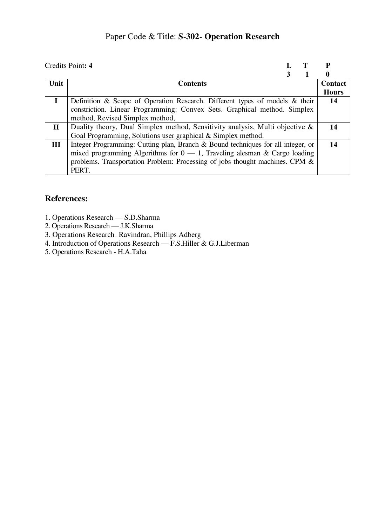# Paper Code & Title: **S-302- Operation Research**

|              | Credits Point: 4                                                                 |   |              |
|--------------|----------------------------------------------------------------------------------|---|--------------|
|              |                                                                                  | 3 | 0            |
| Unit         | <b>Contents</b>                                                                  |   | Contact      |
|              |                                                                                  |   | <b>Hours</b> |
|              | Definition & Scope of Operation Research. Different types of models & their      |   | 14           |
|              | constriction. Linear Programming: Convex Sets. Graphical method. Simplex         |   |              |
|              | method, Revised Simplex method,                                                  |   |              |
| $\mathbf{I}$ | Duality theory, Dual Simplex method, Sensitivity analysis, Multi objective &     |   | -14          |
|              | Goal Programming, Solutions user graphical & Simplex method.                     |   |              |
| III          | Integer Programming: Cutting plan, Branch & Bound techniques for all integer, or |   | 14           |
|              | mixed programming Algorithms for $0 - 1$ , Traveling alesman & Cargo loading     |   |              |
|              | problems. Transportation Problem: Processing of jobs thought machines. CPM &     |   |              |
|              | PERT.                                                                            |   |              |

- 1. Operations Research S.D.Sharma
- 2. Operations Research J.K.Sharma
- 3. Operations Research Ravindran, Phillips Adberg
- 4. Introduction of Operations Research F.S.Hiller & G.J.Liberman
- 5. Operations Research H.A.Taha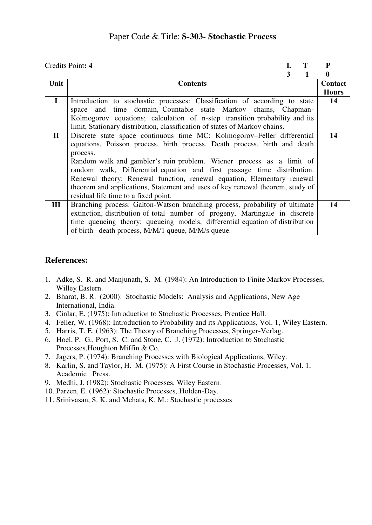### Paper Code & Title: **S-303- Stochastic Process**

| Credits Point: 4 |                                                                               |   | P            |
|------------------|-------------------------------------------------------------------------------|---|--------------|
|                  | 3                                                                             | 1 | $\bf{0}$     |
| Unit             | <b>Contents</b>                                                               |   | Contact      |
|                  |                                                                               |   | <b>Hours</b> |
| $\mathbf{I}$     | Introduction to stochastic processes: Classification of according to state    |   | 14           |
|                  | space and time domain, Countable state Markov chains, Chapman-                |   |              |
|                  | Kolmogorov equations; calculation of n-step transition probability and its    |   |              |
|                  | limit, Stationary distribution, classification of states of Markov chains.    |   |              |
| $\mathbf{I}$     | Discrete state space continuous time MC: Kolmogorov–Feller differential       |   | 14           |
|                  | equations, Poisson process, birth process, Death process, birth and death     |   |              |
|                  | process.                                                                      |   |              |
|                  | Random walk and gambler's ruin problem. Wiener process as a limit of          |   |              |
|                  | random walk, Differential equation and first passage time distribution.       |   |              |
|                  | Renewal theory: Renewal function, renewal equation, Elementary renewal        |   |              |
|                  | theorem and applications, Statement and uses of key renewal theorem, study of |   |              |
|                  | residual life time to a fixed point.                                          |   |              |
| Ш                | Branching process: Galton-Watson branching process, probability of ultimate   |   | 14           |
|                  | extinction, distribution of total number of progeny, Martingale in discrete   |   |              |
|                  | time queueing theory: queueing models, differential equation of distribution  |   |              |
|                  |                                                                               |   |              |
|                  | of birth – death process, M/M/1 queue, M/M/s queue.                           |   |              |

- 1. Adke, S. R. and Manjunath, S. M. (1984): An Introduction to Finite Markov Processes, Willey Eastern.
- 2. Bharat, B. R. (2000): Stochastic Models: Analysis and Applications, New Age International, India.
- 3. Cinlar, E. (1975): Introduction to Stochastic Processes, Prentice Hall.
- 4. Feller, W. (1968): Introduction to Probability and its Applications, Vol. 1, Wiley Eastern.
- 5. Harris, T. E. (1963): The Theory of Branching Processes, Springer-Verlag.
- 6. Hoel, P. G., Port, S. C. and Stone, C. J. (1972): Introduction to Stochastic Processes,Houghton Miffin & Co.
- 7. Jagers, P. (1974): Branching Processes with Biological Applications, Wiley.
- 8. Karlin, S. and Taylor, H. M. (1975): A First Course in Stochastic Processes, Vol. 1, Academic Press.
- 9. Medhi, J. (1982): Stochastic Processes, Wiley Eastern.
- 10. Parzen, E. (1962): Stochastic Processes, Holden-Day.
- 11. Srinivasan, S. K. and Mehata, K. M.: Stochastic processes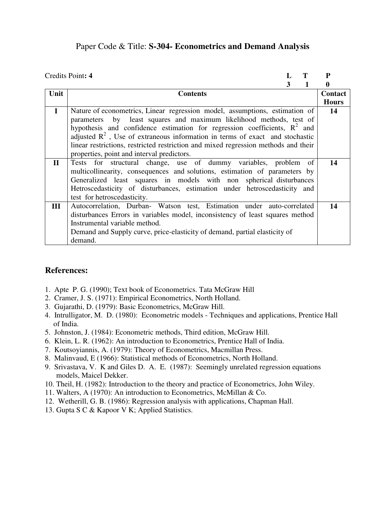### Paper Code & Title: **S-304- Econometrics and Demand Analysis**

|              | Credits Point: 4                                                                   |   | P            |
|--------------|------------------------------------------------------------------------------------|---|--------------|
|              |                                                                                    | 3 | 0            |
| Unit         | <b>Contents</b>                                                                    |   | Contact      |
|              |                                                                                    |   | <b>Hours</b> |
| $\mathbf{I}$ | Nature of econometrics, Linear regression model, assumptions, estimation of        |   | 14           |
|              | parameters by least squares and maximum likelihood methods, test of                |   |              |
|              | hypothesis and confidence estimation for regression coefficients, $R^2$ and        |   |              |
|              | adjusted $R^2$ , Use of extraneous information in terms of exact and stochastic    |   |              |
|              | linear restrictions, restricted restriction and mixed regression methods and their |   |              |
|              | properties, point and interval predictors.                                         |   |              |
| $\mathbf{I}$ | Tests for structural change, use of dummy variables, problem of                    |   | 14           |
|              | multicollinearity, consequences and solutions, estimation of parameters by         |   |              |
|              | Generalized least squares in models with non spherical disturbances                |   |              |
|              | Hetroscedasticity of disturbances, estimation under hetroscedasticity and          |   |              |
|              | test for hetroscedasticity.                                                        |   |              |
| III          | Autocorrelation, Durban- Watson test, Estimation under auto-correlated             |   | 14           |
|              | disturbances Errors in variables model, inconsistency of least squares method      |   |              |
|              | Instrumental variable method.                                                      |   |              |
|              | Demand and Supply curve, price-elasticity of demand, partial elasticity of         |   |              |
|              | demand.                                                                            |   |              |

- 1. Apte P. G. (1990); Text book of Econometrics. Tata McGraw Hill
- 2. Cramer, J. S. (1971): Empirical Econometrics, North Holland.
- 3. Gujarathi, D. (1979): Basic Econometrics, McGraw Hill.
- 4. Intrulligator, M. D. (1980): Econometric models Techniques and applications, Prentice Hall of India.
- 5. Johnston, J. (1984): Econometric methods, Third edition, McGraw Hill.
- 6. Klein, L. R. (1962): An introduction to Econometrics, Prentice Hall of India.
- 7. Koutsoyiannis, A. (1979): Theory of Econometrics, Macmillan Press.
- 8. Malinvaud, E (1966): Statistical methods of Econometrics, North Holland.
- 9. Srivastava, V. K and Giles D. A. E. (1987): Seemingly unrelated regression equations models, Maicel Dekker.
- 10. Theil, H. (1982): Introduction to the theory and practice of Econometrics, John Wiley.
- 11. Walters, A (1970): An introduction to Econometrics, McMillan & Co.
- 12. Wetherill, G. B. (1986): Regression analysis with applications, Chapman Hall.
- 13. Gupta S C & Kapoor V K; Applied Statistics.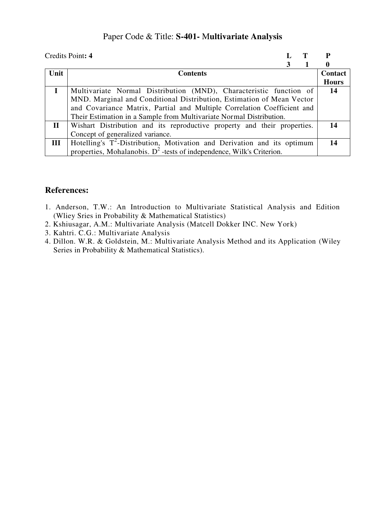### Paper Code & Title: **S-401-** M**ultivariate Analysis**

|              | Credits Point: 4                                                           |   |              |
|--------------|----------------------------------------------------------------------------|---|--------------|
|              |                                                                            | 3 | 0            |
| Unit         | <b>Contents</b>                                                            |   | Contact      |
|              |                                                                            |   | <b>Hours</b> |
|              | Multivariate Normal Distribution (MND), Characteristic function of         |   | -14          |
|              | MND. Marginal and Conditional Distribution, Estimation of Mean Vector      |   |              |
|              | and Covariance Matrix, Partial and Multiple Correlation Coefficient and    |   |              |
|              | Their Estimation in a Sample from Multivariate Normal Distribution.        |   |              |
| $\mathbf{I}$ | Wishart Distribution and its reproductive property and their properties.   |   | 14           |
|              | Concept of generalized variance.                                           |   |              |
| III          | Hotelling's $T^2$ -Distribution, Motivation and Derivation and its optimum |   | -14          |
|              | properties, Mohalanobis. $D^2$ -tests of independence, Wilk's Criterion.   |   |              |

- 1. Anderson, T.W.: An Introduction to Multivariate Statistical Analysis and Edition (Wliey Sries in Probability & Mathematical Statistics)
- 2. Kshiusagar, A.M.: Multivariate Analysis (Matcell Dokker INC. New York)
- 3. Kahtri. C.G.: Multivariate Analysis
- 4. Dillon. W.R. & Goldstein, M.: Multivariate Analysis Method and its Application (Wiley Series in Probability & Mathematical Statistics).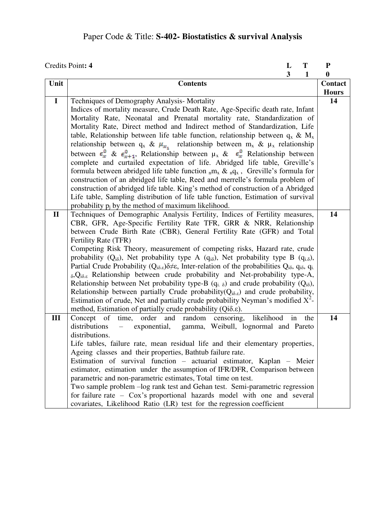# Paper Code & Title: **S-402- Biostatistics & survival Analysis**

| Credits Point: 4<br>L<br>T |                                                                                                                                                                                                                                                                                                        |              | P   |              |
|----------------------------|--------------------------------------------------------------------------------------------------------------------------------------------------------------------------------------------------------------------------------------------------------------------------------------------------------|--------------|-----|--------------|
|                            |                                                                                                                                                                                                                                                                                                        | $\mathbf{3}$ | 1   | $\bf{0}$     |
| Unit                       | <b>Contents</b>                                                                                                                                                                                                                                                                                        |              |     | Contact      |
|                            |                                                                                                                                                                                                                                                                                                        |              |     | <b>Hours</b> |
| $\mathbf{I}$               | Techniques of Demography Analysis-Mortality                                                                                                                                                                                                                                                            |              |     | 14           |
|                            | Indices of mortality measure, Crude Death Rate, Age-Specific death rate, Infant                                                                                                                                                                                                                        |              |     |              |
|                            | Mortality Rate, Neonatal and Prenatal mortality rate, Standardization of                                                                                                                                                                                                                               |              |     |              |
|                            | Mortality Rate, Direct method and Indirect method of Standardization, Life                                                                                                                                                                                                                             |              |     |              |
|                            | table, Relationship between life table function, relationship between $q_x \& M_x$                                                                                                                                                                                                                     |              |     |              |
|                            | relationship between $q_x \& \mu_{x_1}$ relationship between $m_x \& \mu_x$ relationship                                                                                                                                                                                                               |              |     |              |
|                            | between $\epsilon_x^0$ & $\epsilon_{x+1}^0$ , Relationship between $\mu_x$ & $\epsilon_x^0$ Relationship between                                                                                                                                                                                       |              |     |              |
|                            | complete and curtailed expectation of life. Abridged life table, Greville's                                                                                                                                                                                                                            |              |     |              |
|                            | formula between abridged life table function $_nmx \& nq_x$ , Greville's formula for                                                                                                                                                                                                                   |              |     |              |
|                            | construction of an abridged life table, Reed and merrelle's formula problem of                                                                                                                                                                                                                         |              |     |              |
|                            | construction of abridged life table. King's method of construction of a Abridged                                                                                                                                                                                                                       |              |     |              |
|                            | Life table, Sampling distribution of life table function, Estimation of survival                                                                                                                                                                                                                       |              |     |              |
|                            | probability $p_i$ by the method of maximum likelihood.                                                                                                                                                                                                                                                 |              |     |              |
| $\mathbf{I}$               | Techniques of Demographic Analysis Fertility, Indices of Fertility measures,                                                                                                                                                                                                                           |              |     | 14           |
|                            | CBR, GFR, Age-Specific Fertility Rate TFR, GRR & NRR, Relationship                                                                                                                                                                                                                                     |              |     |              |
|                            | between Crude Birth Rate (CBR), General Fertility Rate (GFR) and Total                                                                                                                                                                                                                                 |              |     |              |
|                            | Fertility Rate (TFR)                                                                                                                                                                                                                                                                                   |              |     |              |
|                            | Competing Risk Theory, measurement of competing risks, Hazard rate, crude                                                                                                                                                                                                                              |              |     |              |
|                            | probability ( $Q_{i\delta}$ ), Net probability type A ( $q_{i\delta}$ ), Net probability type B ( $q_{i\delta}$ ),                                                                                                                                                                                     |              |     |              |
|                            | Partial Crude Probability ( $Q_{i\delta,\varepsilon}$ ) $\delta \neq \varepsilon$ , Inter-relation of the probabilities $Q_{i\delta}$ , $q_{i\delta}$ , $q_{i\delta}$ ,<br>$_{\delta}$ , Q <sub>i<math>_{\delta</math>, &amp; Relationship between crude probability and Net-probability type-A,</sub> |              |     |              |
|                            |                                                                                                                                                                                                                                                                                                        |              |     |              |
|                            | Relationship between Net probability type-B $(q_i, \delta)$ and crude probability $(Q_{i\delta})$ ,<br>Relationship between partially Crude probability( $Q_{i\delta,\varepsilon}$ ) and crude probability,                                                                                            |              |     |              |
|                            | Estimation of crude, Net and partially crude probability Neyman's modified $X^2$ -                                                                                                                                                                                                                     |              |     |              |
|                            | method, Estimation of partially crude probability (Qios.).                                                                                                                                                                                                                                             |              |     |              |
| III                        | Concept of time,<br>order and random<br>likelihood<br>censoring,                                                                                                                                                                                                                                       | in           | the | 14           |
|                            | distributions<br>exponential,<br>gamma, Weibull, lognormal and Pareto                                                                                                                                                                                                                                  |              |     |              |
|                            | distributions.                                                                                                                                                                                                                                                                                         |              |     |              |
|                            | Life tables, failure rate, mean residual life and their elementary properties,                                                                                                                                                                                                                         |              |     |              |
|                            | Ageing classes and their properties, Bathtub failure rate.                                                                                                                                                                                                                                             |              |     |              |
|                            | Estimation of survival function - actuarial estimator, Kaplan - Meier                                                                                                                                                                                                                                  |              |     |              |
|                            | estimator, estimation under the assumption of IFR/DFR, Comparison between                                                                                                                                                                                                                              |              |     |              |
|                            | parametric and non-parametric estimates, Total time on test.                                                                                                                                                                                                                                           |              |     |              |
|                            | Two sample problem -log rank test and Gehan test. Semi-parametric regression                                                                                                                                                                                                                           |              |     |              |
|                            | for failure rate $-$ Cox's proportional hazards model with one and several                                                                                                                                                                                                                             |              |     |              |
|                            | covariates, Likelihood Ratio (LR) test for the regression coefficient                                                                                                                                                                                                                                  |              |     |              |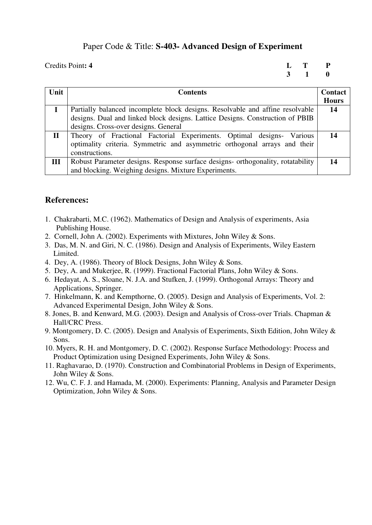### Paper Code & Title: **S-403- Advanced Design of Experiment**

Credits Point: 4 L T P <br>3 1 0  **3 1 0** 

| Unit        | <b>Contents</b>                                                                 | Contact      |
|-------------|---------------------------------------------------------------------------------|--------------|
|             |                                                                                 | <b>Hours</b> |
|             | Partially balanced incomplete block designs. Resolvable and affine resolvable   | 14           |
|             | designs. Dual and linked block designs. Lattice Designs. Construction of PBIB   |              |
|             | designs. Cross-over designs. General                                            |              |
| $\mathbf H$ | Theory of Fractional Factorial Experiments. Optimal designs-<br>Various         |              |
|             | optimality criteria. Symmetric and asymmetric orthogonal arrays and their       |              |
|             | constructions.                                                                  |              |
| III         | Robust Parameter designs. Response surface designs- orthogonality, rotatability | 14           |
|             | and blocking. Weighing designs. Mixture Experiments.                            |              |

- 1. Chakrabarti, M.C. (1962). Mathematics of Design and Analysis of experiments, Asia Publishing House.
- 2. Cornell, John A. (2002). Experiments with Mixtures, John Wiley & Sons.
- 3. Das, M. N. and Giri, N. C. (1986). Design and Analysis of Experiments, Wiley Eastern Limited.
- 4. Dey, A. (1986). Theory of Block Designs, John Wiley & Sons.
- 5. Dey, A. and Mukerjee, R. (1999). Fractional Factorial Plans, John Wiley & Sons.
- 6. Hedayat, A. S., Sloane, N. J.A. and Stufken, J. (1999). Orthogonal Arrays: Theory and Applications, Springer.
- 7. Hinkelmann, K. and Kempthorne, O. (2005). Design and Analysis of Experiments, Vol. 2: Advanced Experimental Design, John Wiley & Sons.
- 8. Jones, B. and Kenward, M.G. (2003). Design and Analysis of Cross-over Trials. Chapman & Hall/CRC Press.
- 9. Montgomery, D. C. (2005). Design and Analysis of Experiments, Sixth Edition, John Wiley & Sons.
- 10. Myers, R. H. and Montgomery, D. C. (2002). Response Surface Methodology: Process and Product Optimization using Designed Experiments, John Wiley & Sons.
- 11. Raghavarao, D. (1970). Construction and Combinatorial Problems in Design of Experiments, John Wiley & Sons.
- 12. Wu, C. F. J. and Hamada, M. (2000). Experiments: Planning, Analysis and Parameter Design Optimization, John Wiley & Sons.